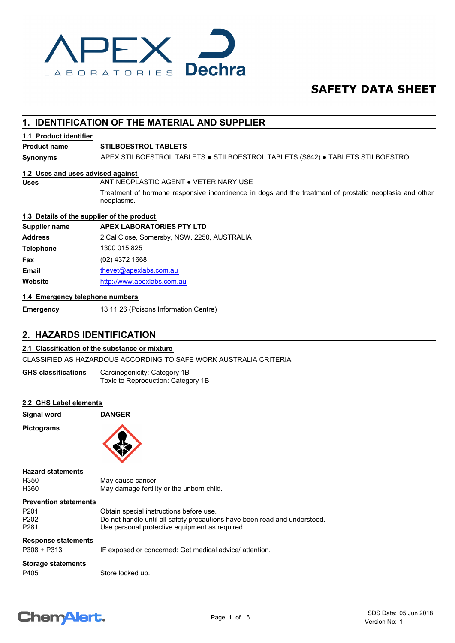

## **SAFETY DATA SHEET**

## **1. IDENTIFICATION OF THE MATERIAL AND SUPPLIER**

#### **1.1 Product identifier**

#### **Product name STILBOESTROL TABLETS**

**Synonyms** APEX STILBOESTROL TABLETS ● STILBOESTROL TABLETS (S642) ● TABLETS STILBOESTROL

#### **1.2 Uses and uses advised against**

**Uses** ANTINEOPLASTIC AGENT ● VETERINARY USE

Treatment of hormone responsive incontinence in dogs and the treatment of prostatic neoplasia and other neoplasms.

#### **1.3 Details of the supplier of the product**

| <b>APEX LABORATORIES PTY LTD</b>            |
|---------------------------------------------|
| 2 Cal Close, Somersby, NSW, 2250, AUSTRALIA |
| 1300 015 825                                |
| (02) 4372 1668                              |
| thevet@apexlabs.com.au                      |
| http://www.apexlabs.com.au                  |
|                                             |

#### **1.4 Emergency telephone numbers**

**Emergency** 13 11 26 (Poisons Information Centre)

#### **2. HAZARDS IDENTIFICATION**

#### **2.1 Classification of the substance or mixture**

CLASSIFIED AS HAZARDOUS ACCORDING TO SAFE WORK AUSTRALIA CRITERIA

Carcinogenicity: Category 1B Toxic to Reproduction: Category 1B **GHS classifications**

#### **2.2 GHS Label elements**

**Signal word DANGER**

**Pictograms**



#### **Hazard statements**

H350 May cause cancer.<br>H360 May damage fertilit

May damage fertility or the unborn child.

#### **Prevention statements**

| P201 | Obtain special instructions before use.                                   |
|------|---------------------------------------------------------------------------|
| P202 | Do not handle until all safety precautions have been read and understood. |
| P281 | Use personal protective equipment as required.                            |

#### **Response statements**

P308 + P313 IF exposed or concerned: Get medical advice/ attention.

## **Storage statements**

P405 Store locked up.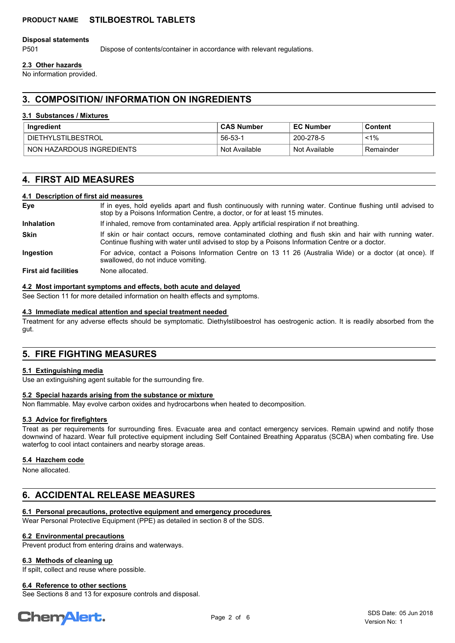#### **PRODUCT NAME STILBOESTROL TABLETS**

#### **Disposal statements**

P501 Dispose of contents/container in accordance with relevant regulations.

#### **2.3 Other hazards**

No information provided.

## **3. COMPOSITION/ INFORMATION ON INGREDIENTS**

#### **3.1 Substances / Mixtures**

| Ingredient                | <b>CAS Number</b> | <b>EC Number</b> | Content    |
|---------------------------|-------------------|------------------|------------|
| <b>DIETHYLSTILBESTROL</b> | 56-53-1           | 200-278-5        | <1%        |
| NON HAZARDOUS INGREDIENTS | Not Available     | Not Available    | ⊤Remainder |

## **4. FIRST AID MEASURES**

#### **4.1 Description of first aid measures**

| Eve                         | If in eyes, hold eyelids apart and flush continuously with running water. Continue flushing until advised to<br>stop by a Poisons Information Centre, a doctor, or for at least 15 minutes.                 |  |  |
|-----------------------------|-------------------------------------------------------------------------------------------------------------------------------------------------------------------------------------------------------------|--|--|
| <b>Inhalation</b>           | If inhaled, remove from contaminated area. Apply artificial respiration if not breathing.                                                                                                                   |  |  |
| <b>Skin</b>                 | If skin or hair contact occurs, remove contaminated clothing and flush skin and hair with running water.<br>Continue flushing with water until advised to stop by a Poisons Information Centre or a doctor. |  |  |
| Ingestion                   | For advice, contact a Poisons Information Centre on 13 11 26 (Australia Wide) or a doctor (at once). If<br>swallowed, do not induce vomiting.                                                               |  |  |
| <b>First aid facilities</b> | None allocated.                                                                                                                                                                                             |  |  |

#### **4.2 Most important symptoms and effects, both acute and delayed**

See Section 11 for more detailed information on health effects and symptoms.

#### **4.3 Immediate medical attention and special treatment needed**

Treatment for any adverse effects should be symptomatic. Diethylstilboestrol has oestrogenic action. It is readily absorbed from the gut.

## **5. FIRE FIGHTING MEASURES**

#### **5.1 Extinguishing media**

Use an extinguishing agent suitable for the surrounding fire.

#### **5.2 Special hazards arising from the substance or mixture**

Non flammable. May evolve carbon oxides and hydrocarbons when heated to decomposition.

#### **5.3 Advice for firefighters**

Treat as per requirements for surrounding fires. Evacuate area and contact emergency services. Remain upwind and notify those downwind of hazard. Wear full protective equipment including Self Contained Breathing Apparatus (SCBA) when combating fire. Use waterfog to cool intact containers and nearby storage areas.

#### **5.4 Hazchem code**

None allocated.

## **6. ACCIDENTAL RELEASE MEASURES**

#### **6.1 Personal precautions, protective equipment and emergency procedures**

Wear Personal Protective Equipment (PPE) as detailed in section 8 of the SDS.

#### **6.2 Environmental precautions**

Prevent product from entering drains and waterways.

#### **6.3 Methods of cleaning up**

If spilt, collect and reuse where possible.

#### **6.4 Reference to other sections**

See Sections 8 and 13 for exposure controls and disposal.

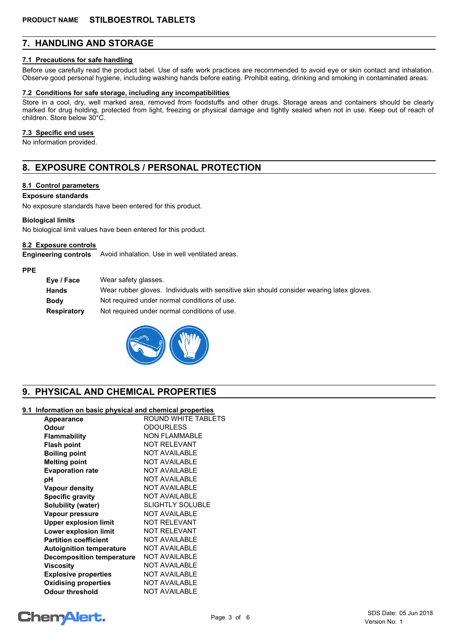## **7. HANDLING AND STORAGE**

#### **7.1 Precautions for safe handling**

Before use carefully read the product label. Use of safe work practices are recommended to avoid eye or skin contact and inhalation. Observe good personal hygiene, including washing hands before eating. Prohibit eating, drinking and smoking in contaminated areas.

#### **7.2 Conditions for safe storage, including any incompatibilities**

Store in a cool, dry, well marked area, removed from foodstuffs and other drugs. Storage areas and containers should be clearly marked for drug holding, protected from light, freezing or physical damage and tightly sealed when not in use. Keep out of reach of children. Store below 30°C.

#### **7.3 Specific end uses**

No information provided.

## **8. EXPOSURE CONTROLS / PERSONAL PROTECTION**

#### **8.1 Control parameters**

#### **Exposure standards**

No exposure standards have been entered for this product.

#### **Biological limits**

No biological limit values have been entered for this product.

#### **8.2 Exposure controls**

**Engineering controls** Avoid inhalation. Use in well ventilated areas.

#### **PPE**

| Eye / Face         | Wear safety glasses.                                                                      |
|--------------------|-------------------------------------------------------------------------------------------|
| <b>Hands</b>       | Wear rubber gloves. Individuals with sensitive skin should consider wearing latex gloves. |
| <b>Body</b>        | Not required under normal conditions of use.                                              |
| <b>Respiratory</b> | Not required under normal conditions of use.                                              |



## **9. PHYSICAL AND CHEMICAL PROPERTIES**

#### **9.1 Information on basic physical and chemical properties**

| Appearance                      | ROUND WHITE TABLETS     |
|---------------------------------|-------------------------|
| Odour                           | <b>ODOURLESS</b>        |
| <b>Flammability</b>             | <b>NON FLAMMABLE</b>    |
| <b>Flash point</b>              | <b>NOT RELEVANT</b>     |
| <b>Boiling point</b>            | <b>NOT AVAILABLE</b>    |
| <b>Melting point</b>            | <b>NOT AVAILABLE</b>    |
| <b>Evaporation rate</b>         | <b>NOT AVAILABLE</b>    |
| рH                              | <b>NOT AVAILABLE</b>    |
| <b>Vapour density</b>           | <b>NOT AVAILABLE</b>    |
| <b>Specific gravity</b>         | <b>NOT AVAILABLE</b>    |
| Solubility (water)              | <b>SLIGHTLY SOLUBLE</b> |
| Vapour pressure                 | <b>NOT AVAILABLE</b>    |
| <b>Upper explosion limit</b>    | <b>NOT RELEVANT</b>     |
| Lower explosion limit           | <b>NOT RELEVANT</b>     |
| <b>Partition coefficient</b>    | <b>NOT AVAILABLE</b>    |
| <b>Autoignition temperature</b> | <b>NOT AVAILABLE</b>    |
| Decomposition temperature       | <b>NOT AVAILABLE</b>    |
| <b>Viscosity</b>                | <b>NOT AVAILABLE</b>    |
| <b>Explosive properties</b>     | <b>NOT AVAILABLE</b>    |
| <b>Oxidising properties</b>     | <b>NOT AVAILABLE</b>    |
| <b>Odour threshold</b>          | <b>NOT AVAILABLE</b>    |
|                                 |                         |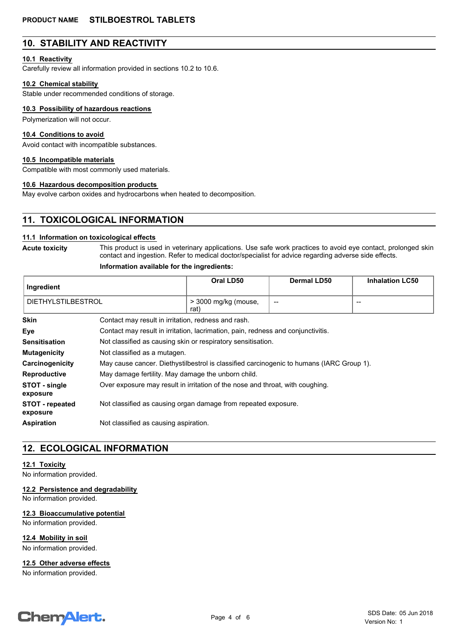## **10. STABILITY AND REACTIVITY**

#### **10.1 Reactivity**

Carefully review all information provided in sections 10.2 to 10.6.

#### **10.2 Chemical stability**

Stable under recommended conditions of storage.

#### **10.3 Possibility of hazardous reactions**

Polymerization will not occur.

#### **10.4 Conditions to avoid**

Avoid contact with incompatible substances.

#### **10.5 Incompatible materials**

Compatible with most commonly used materials.

#### **10.6 Hazardous decomposition products**

May evolve carbon oxides and hydrocarbons when heated to decomposition.

## **11. TOXICOLOGICAL INFORMATION**

#### **11.1 Information on toxicological effects**

**Acute toxicity**

This product is used in veterinary applications. Use safe work practices to avoid eye contact, prolonged skin contact and ingestion. Refer to medical doctor/specialist for advice regarding adverse side effects.

#### **Information available for the ingredients:**

| Ingredient                         |                                                                                          | Oral LD50                    | Dermal LD50 | <b>Inhalation LC50</b>                |
|------------------------------------|------------------------------------------------------------------------------------------|------------------------------|-------------|---------------------------------------|
| <b>DIETHYLSTILBESTROL</b>          |                                                                                          | > 3000 mg/kg (mouse,<br>rat) | --          | $\hspace{0.05cm}$ – $\hspace{0.05cm}$ |
| <b>Skin</b>                        | Contact may result in irritation, redness and rash.                                      |                              |             |                                       |
| Eye                                | Contact may result in irritation, lacrimation, pain, redness and conjunctivitis.         |                              |             |                                       |
| <b>Sensitisation</b>               | Not classified as causing skin or respiratory sensitisation.                             |                              |             |                                       |
| <b>Mutagenicity</b>                | Not classified as a mutagen.                                                             |                              |             |                                       |
| Carcinogenicity                    | May cause cancer. Diethystilbestrol is classified carcinogenic to humans (IARC Group 1). |                              |             |                                       |
| <b>Reproductive</b>                | May damage fertility. May damage the unborn child.                                       |                              |             |                                       |
| STOT - single<br>exposure          | Over exposure may result in irritation of the nose and throat, with coughing.            |                              |             |                                       |
| <b>STOT - repeated</b><br>exposure | Not classified as causing organ damage from repeated exposure.                           |                              |             |                                       |
| <b>Aspiration</b>                  | Not classified as causing aspiration.                                                    |                              |             |                                       |

## **12. ECOLOGICAL INFORMATION**

#### **12.1 Toxicity**

No information provided.

**12.2 Persistence and degradability**

No information provided.

#### **12.3 Bioaccumulative potential**

No information provided.

**12.4 Mobility in soil**

No information provided.

**12.5 Other adverse effects**

No information provided.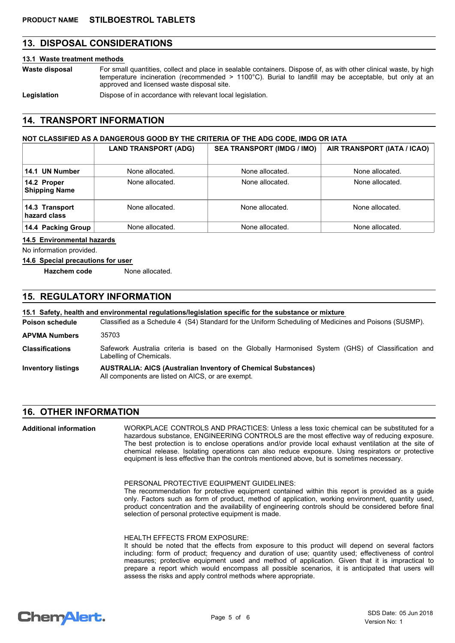## **13. DISPOSAL CONSIDERATIONS**

#### **13.1 Waste treatment methods**

For small quantities, collect and place in sealable containers. Dispose of, as with other clinical waste, by high temperature incineration (recommended  $> 1100^{\circ}$ C). Burial to landfill may be acceptable, but only at an approved and licensed waste disposal site. **Waste disposal**

Legislation **Dispose of in accordance with relevant local legislation.** 

## **14. TRANSPORT INFORMATION**

#### **NOT CLASSIFIED AS A DANGEROUS GOOD BY THE CRITERIA OF THE ADG CODE, IMDG OR IATA**

|                                     | <b>LAND TRANSPORT (ADG)</b> | <b>SEA TRANSPORT (IMDG / IMO)</b> | AIR TRANSPORT (IATA / ICAO) |
|-------------------------------------|-----------------------------|-----------------------------------|-----------------------------|
| 14.1 UN Number                      | None allocated.             | None allocated.                   | None allocated.             |
| 14.2 Proper<br><b>Shipping Name</b> | None allocated.             | None allocated.                   | None allocated.             |
| 14.3 Transport<br>hazard class      | None allocated.             | None allocated.                   | None allocated.             |
| 14.4 Packing Group                  | None allocated.             | None allocated.                   | None allocated.             |

#### **14.5 Environmental hazards**

No information provided.

#### **14.6 Special precautions for user**

**Hazchem code** None allocated.

## **15. REGULATORY INFORMATION**

#### **15.1 Safety, health and environmental regulations/legislation specific for the substance or mixture**

Classified as a Schedule 4 (S4) Standard for the Uniform Scheduling of Medicines and Poisons (SUSMP). **Poison schedule** Safework Australia criteria is based on the Globally Harmonised System (GHS) of Classification and **Classifications APVMA Numbers** 35703

- **AUSTRALIA: AICS (Australian Inventory of Chemical Substances) Inventory listings** Labelling of Chemicals.
	- All components are listed on AICS, or are exempt.

#### **16. OTHER INFORMATION**

WORKPLACE CONTROLS AND PRACTICES: Unless a less toxic chemical can be substituted for a hazardous substance, ENGINEERING CONTROLS are the most effective way of reducing exposure. The best protection is to enclose operations and/or provide local exhaust ventilation at the site of chemical release. Isolating operations can also reduce exposure. Using respirators or protective equipment is less effective than the controls mentioned above, but is sometimes necessary. **Additional information**

PERSONAL PROTECTIVE EQUIPMENT GUIDELINES:

The recommendation for protective equipment contained within this report is provided as a guide only. Factors such as form of product, method of application, working environment, quantity used, product concentration and the availability of engineering controls should be considered before final selection of personal protective equipment is made.

#### HEALTH EFFECTS FROM EXPOSURE:

It should be noted that the effects from exposure to this product will depend on several factors including: form of product; frequency and duration of use; quantity used; effectiveness of control measures; protective equipment used and method of application. Given that it is impractical to prepare a report which would encompass all possible scenarios, it is anticipated that users will assess the risks and apply control methods where appropriate.